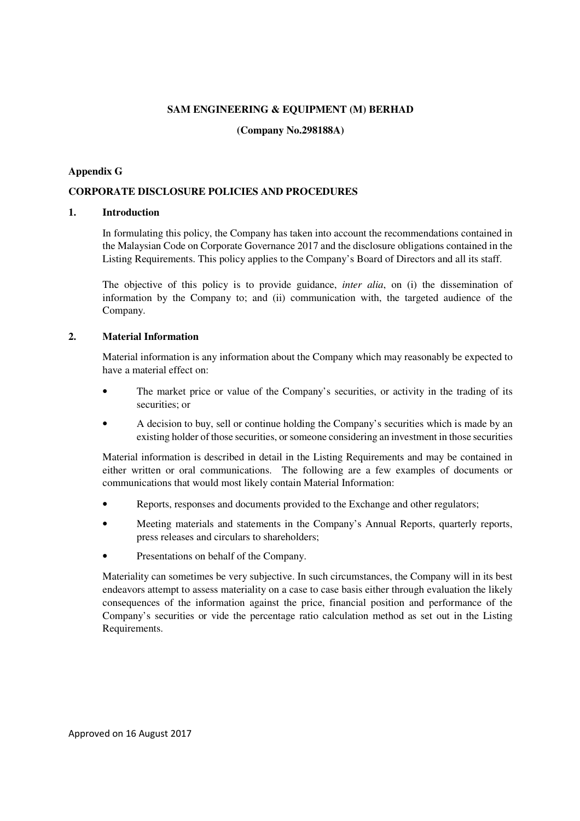### **SAM ENGINEERING & EQUIPMENT (M) BERHAD**

## **(Company No.298188A)**

## **Appendix G**

# **CORPORATE DISCLOSURE POLICIES AND PROCEDURES**

## **1. Introduction**

In formulating this policy, the Company has taken into account the recommendations contained in the Malaysian Code on Corporate Governance 2017 and the disclosure obligations contained in the Listing Requirements. This policy applies to the Company's Board of Directors and all its staff.

The objective of this policy is to provide guidance, *inter alia*, on (i) the dissemination of information by the Company to; and (ii) communication with, the targeted audience of the Company.

# **2. Material Information**

Material information is any information about the Company which may reasonably be expected to have a material effect on:

- The market price or value of the Company's securities, or activity in the trading of its securities; or
- A decision to buy, sell or continue holding the Company's securities which is made by an existing holder of those securities, or someone considering an investment in those securities

Material information is described in detail in the Listing Requirements and may be contained in either written or oral communications. The following are a few examples of documents or communications that would most likely contain Material Information:

- Reports, responses and documents provided to the Exchange and other regulators;
- Meeting materials and statements in the Company's Annual Reports, quarterly reports, press releases and circulars to shareholders;
- Presentations on behalf of the Company.

Materiality can sometimes be very subjective. In such circumstances, the Company will in its best endeavors attempt to assess materiality on a case to case basis either through evaluation the likely consequences of the information against the price, financial position and performance of the Company's securities or vide the percentage ratio calculation method as set out in the Listing Requirements.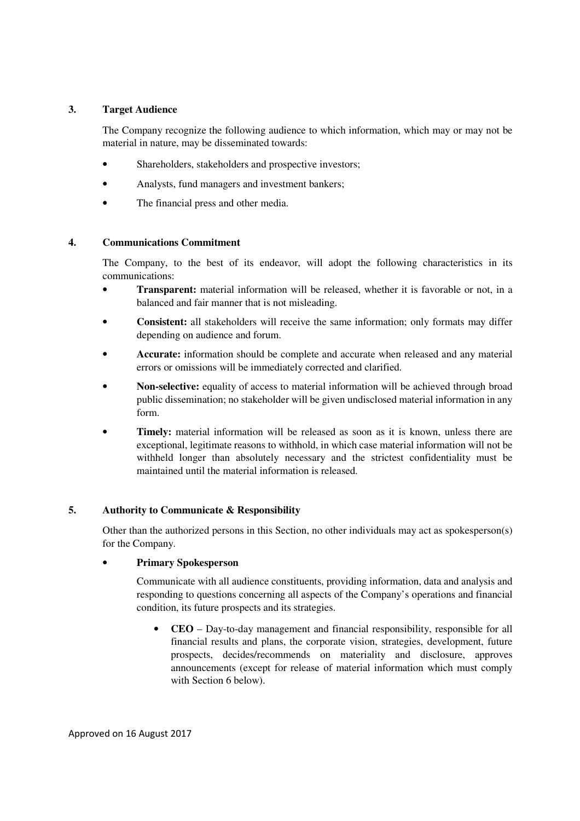## **3. Target Audience**

The Company recognize the following audience to which information, which may or may not be material in nature, may be disseminated towards:

- Shareholders, stakeholders and prospective investors;
- Analysts, fund managers and investment bankers;
- The financial press and other media.

### **4. Communications Commitment**

The Company, to the best of its endeavor, will adopt the following characteristics in its communications:

- **Transparent:** material information will be released, whether it is favorable or not, in a balanced and fair manner that is not misleading.
- **Consistent:** all stakeholders will receive the same information; only formats may differ depending on audience and forum.
- **Accurate:** information should be complete and accurate when released and any material errors or omissions will be immediately corrected and clarified.
- **Non-selective:** equality of access to material information will be achieved through broad public dissemination; no stakeholder will be given undisclosed material information in any form.
- Timely: material information will be released as soon as it is known, unless there are exceptional, legitimate reasons to withhold, in which case material information will not be withheld longer than absolutely necessary and the strictest confidentiality must be maintained until the material information is released.

# **5. Authority to Communicate & Responsibility**

Other than the authorized persons in this Section, no other individuals may act as spokesperson(s) for the Company.

### • **Primary Spokesperson**

Communicate with all audience constituents, providing information, data and analysis and responding to questions concerning all aspects of the Company's operations and financial condition, its future prospects and its strategies.

• **CEO** – Day-to-day management and financial responsibility, responsible for all financial results and plans, the corporate vision, strategies, development, future prospects, decides/recommends on materiality and disclosure, approves announcements (except for release of material information which must comply with Section 6 below).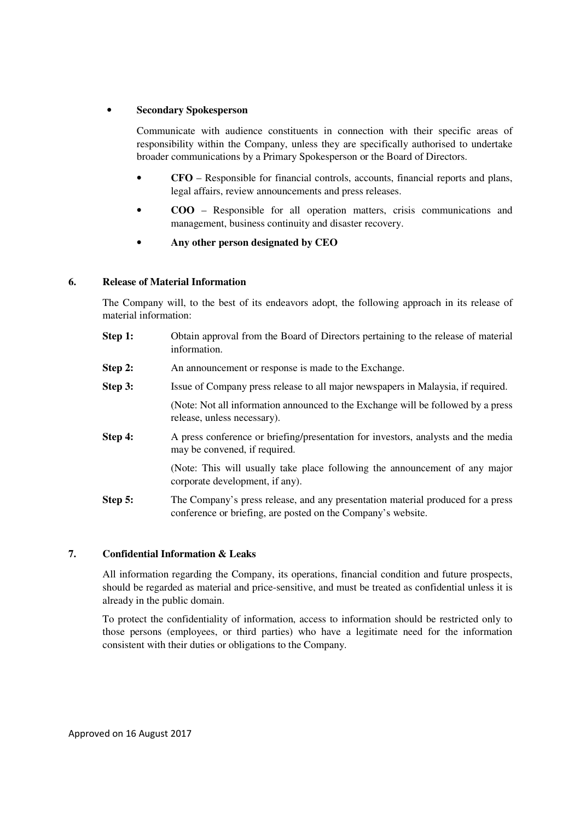### • **Secondary Spokesperson**

Communicate with audience constituents in connection with their specific areas of responsibility within the Company, unless they are specifically authorised to undertake broader communications by a Primary Spokesperson or the Board of Directors.

- **CFO** Responsible for financial controls, accounts, financial reports and plans, legal affairs, review announcements and press releases.
- **COO** Responsible for all operation matters, crisis communications and management, business continuity and disaster recovery.
- **Any other person designated by CEO**

### **6. Release of Material Information**

The Company will, to the best of its endeavors adopt, the following approach in its release of material information:

| Step 1: | Obtain approval from the Board of Directors pertaining to the release of material<br>information.                                               |
|---------|-------------------------------------------------------------------------------------------------------------------------------------------------|
| Step 2: | An announcement or response is made to the Exchange.                                                                                            |
| Step 3: | Issue of Company press release to all major newspapers in Malaysia, if required.                                                                |
|         | (Note: Not all information announced to the Exchange will be followed by a press<br>release, unless necessary).                                 |
| Step 4: | A press conference or briefing/presentation for investors, analysts and the media<br>may be convened, if required.                              |
|         | (Note: This will usually take place following the announcement of any major<br>corporate development, if any).                                  |
| Step 5: | The Company's press release, and any presentation material produced for a press<br>conference or briefing, are posted on the Company's website. |

### **7. Confidential Information & Leaks**

All information regarding the Company, its operations, financial condition and future prospects, should be regarded as material and price-sensitive, and must be treated as confidential unless it is already in the public domain.

To protect the confidentiality of information, access to information should be restricted only to those persons (employees, or third parties) who have a legitimate need for the information consistent with their duties or obligations to the Company.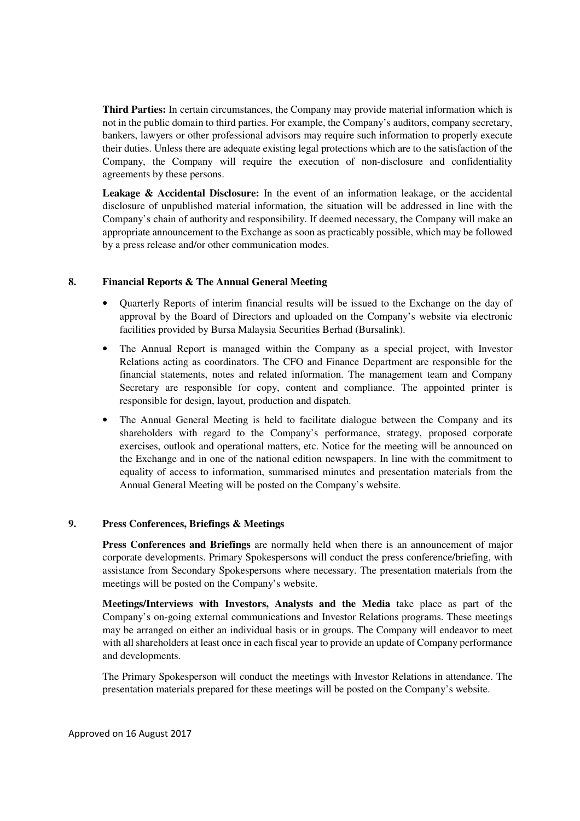**Third Parties:** In certain circumstances, the Company may provide material information which is not in the public domain to third parties. For example, the Company's auditors, company secretary, bankers, lawyers or other professional advisors may require such information to properly execute their duties. Unless there are adequate existing legal protections which are to the satisfaction of the Company, the Company will require the execution of non-disclosure and confidentiality agreements by these persons.

**Leakage & Accidental Disclosure:** In the event of an information leakage, or the accidental disclosure of unpublished material information, the situation will be addressed in line with the Company's chain of authority and responsibility. If deemed necessary, the Company will make an appropriate announcement to the Exchange as soon as practicably possible, which may be followed by a press release and/or other communication modes.

### **8. Financial Reports & The Annual General Meeting**

- Quarterly Reports of interim financial results will be issued to the Exchange on the day of approval by the Board of Directors and uploaded on the Company's website via electronic facilities provided by Bursa Malaysia Securities Berhad (Bursalink).
- The Annual Report is managed within the Company as a special project, with Investor Relations acting as coordinators. The CFO and Finance Department are responsible for the financial statements, notes and related information. The management team and Company Secretary are responsible for copy, content and compliance. The appointed printer is responsible for design, layout, production and dispatch.
- The Annual General Meeting is held to facilitate dialogue between the Company and its shareholders with regard to the Company's performance, strategy, proposed corporate exercises, outlook and operational matters, etc. Notice for the meeting will be announced on the Exchange and in one of the national edition newspapers. In line with the commitment to equality of access to information, summarised minutes and presentation materials from the Annual General Meeting will be posted on the Company's website.

### **9. Press Conferences, Briefings & Meetings**

**Press Conferences and Briefings** are normally held when there is an announcement of major corporate developments. Primary Spokespersons will conduct the press conference/briefing, with assistance from Secondary Spokespersons where necessary. The presentation materials from the meetings will be posted on the Company's website.

**Meetings/Interviews with Investors, Analysts and the Media** take place as part of the Company's on-going external communications and Investor Relations programs. These meetings may be arranged on either an individual basis or in groups. The Company will endeavor to meet with all shareholders at least once in each fiscal year to provide an update of Company performance and developments.

The Primary Spokesperson will conduct the meetings with Investor Relations in attendance. The presentation materials prepared for these meetings will be posted on the Company's website.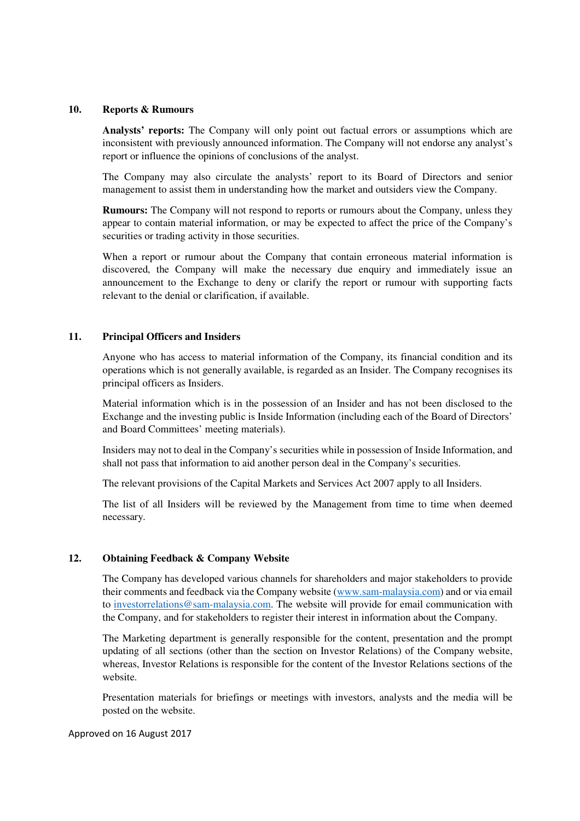#### **10. Reports & Rumours**

**Analysts' reports:** The Company will only point out factual errors or assumptions which are inconsistent with previously announced information. The Company will not endorse any analyst's report or influence the opinions of conclusions of the analyst.

The Company may also circulate the analysts' report to its Board of Directors and senior management to assist them in understanding how the market and outsiders view the Company.

**Rumours:** The Company will not respond to reports or rumours about the Company, unless they appear to contain material information, or may be expected to affect the price of the Company's securities or trading activity in those securities.

When a report or rumour about the Company that contain erroneous material information is discovered, the Company will make the necessary due enquiry and immediately issue an announcement to the Exchange to deny or clarify the report or rumour with supporting facts relevant to the denial or clarification, if available.

#### **11. Principal Officers and Insiders**

Anyone who has access to material information of the Company, its financial condition and its operations which is not generally available, is regarded as an Insider. The Company recognises its principal officers as Insiders.

Material information which is in the possession of an Insider and has not been disclosed to the Exchange and the investing public is Inside Information (including each of the Board of Directors' and Board Committees' meeting materials).

Insiders may not to deal in the Company's securities while in possession of Inside Information, and shall not pass that information to aid another person deal in the Company's securities.

The relevant provisions of the Capital Markets and Services Act 2007 apply to all Insiders.

The list of all Insiders will be reviewed by the Management from time to time when deemed necessary.

#### **12. Obtaining Feedback & Company Website**

The Company has developed various channels for shareholders and major stakeholders to provide their comments and feedback via the Company website (www.sam-malaysia.com) and or via email to investorrelations@sam-malaysia.com. The website will provide for email communication with the Company, and for stakeholders to register their interest in information about the Company.

The Marketing department is generally responsible for the content, presentation and the prompt updating of all sections (other than the section on Investor Relations) of the Company website, whereas, Investor Relations is responsible for the content of the Investor Relations sections of the website.

Presentation materials for briefings or meetings with investors, analysts and the media will be posted on the website.

Approved on 16 August 2017